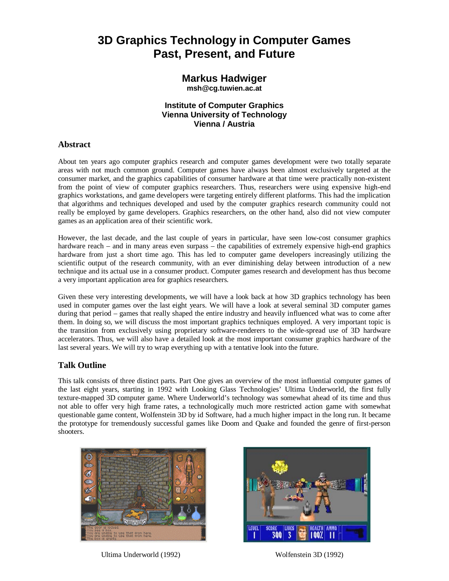## **3D Graphics Technology in Computer Games Past, Present, and Future**

# **Markus Hadwiger**

**msh@cg.tuwien.ac.at**

### **Institute of Computer Graphics Vienna University of Technology Vienna / Austria**

### **Abstract**

About ten years ago computer graphics research and computer games development were two totally separate areas with not much common ground. Computer games have always been almost exclusively targeted at the consumer market, and the graphics capabilities of consumer hardware at that time were practically non-existent from the point of view of computer graphics researchers. Thus, researchers were using expensive high-end graphics workstations, and game developers were targeting entirely different platforms. This had the implication that algorithms and techniques developed and used by the computer graphics research community could not really be employed by game developers. Graphics researchers, on the other hand, also did not view computer games as an application area of their scientific work.

However, the last decade, and the last couple of years in particular, have seen low-cost consumer graphics hardware reach – and in many areas even surpass – the capabilities of extremely expensive high-end graphics hardware from just a short time ago. This has led to computer game developers increasingly utilizing the scientific output of the research community, with an ever diminishing delay between introduction of a new technique and its actual use in a consumer product. Computer games research and development has thus become a very important application area for graphics researchers.

Given these very interesting developments, we will have a look back at how 3D graphics technology has been used in computer games over the last eight years. We will have a look at several seminal 3D computer games during that period – games that really shaped the entire industry and heavily influenced what was to come after them. In doing so, we will discuss the most important graphics techniques employed. A very important topic is the transition from exclusively using proprietary software-renderers to the wide-spread use of 3D hardware accelerators. Thus, we will also have a detailed look at the most important consumer graphics hardware of the last several years. We will try to wrap everything up with a tentative look into the future.

### **Talk Outline**

This talk consists of three distinct parts. Part One gives an overview of the most influential computer games of the last eight years, starting in 1992 with Looking Glass Technologies' Ultima Underworld, the first fully texture-mapped 3D computer game. Where Underworld's technology was somewhat ahead of its time and thus not able to offer very high frame rates, a technologically much more restricted action game with somewhat questionable game content, Wolfenstein 3D by id Software, had a much higher impact in the long run. It became the prototype for tremendously successful games like Doom and Quake and founded the genre of first-person shooters.





Ultima Underworld (1992) Wolfenstein 3D (1992)